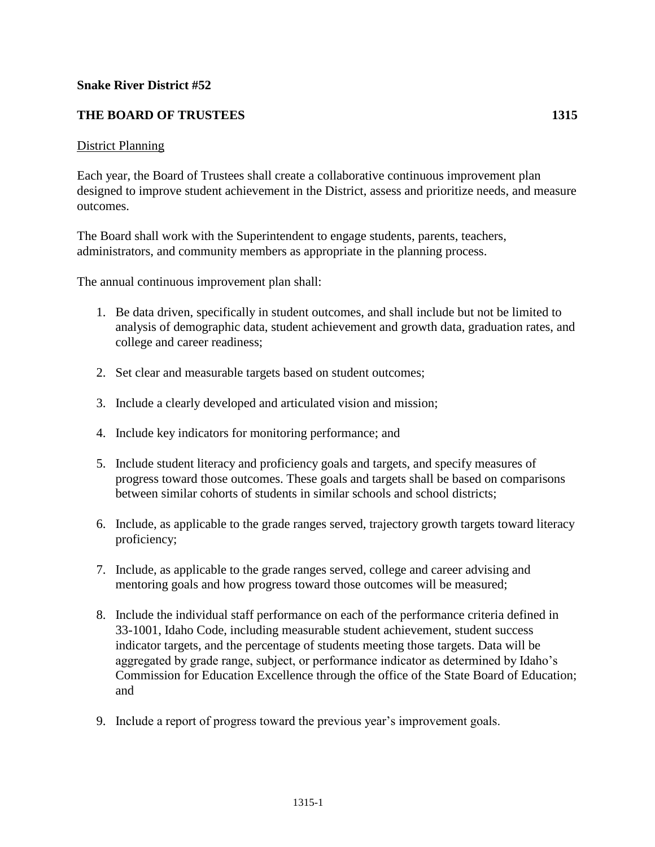## **Snake River District #52**

## **THE BOARD OF TRUSTEES 1315**

## District Planning

Each year, the Board of Trustees shall create a collaborative continuous improvement plan designed to improve student achievement in the District, assess and prioritize needs, and measure outcomes.

The Board shall work with the Superintendent to engage students, parents, teachers, administrators, and community members as appropriate in the planning process.

The annual continuous improvement plan shall:

- 1. Be data driven, specifically in student outcomes, and shall include but not be limited to analysis of demographic data, student achievement and growth data, graduation rates, and college and career readiness;
- 2. Set clear and measurable targets based on student outcomes;
- 3. Include a clearly developed and articulated vision and mission;
- 4. Include key indicators for monitoring performance; and
- 5. Include student literacy and proficiency goals and targets, and specify measures of progress toward those outcomes. These goals and targets shall be based on comparisons between similar cohorts of students in similar schools and school districts;
- 6. Include, as applicable to the grade ranges served, trajectory growth targets toward literacy proficiency;
- 7. Include, as applicable to the grade ranges served, college and career advising and mentoring goals and how progress toward those outcomes will be measured;
- 8. Include the individual staff performance on each of the performance criteria defined in 33-1001, Idaho Code, including measurable student achievement, student success indicator targets, and the percentage of students meeting those targets. Data will be aggregated by grade range, subject, or performance indicator as determined by Idaho's Commission for Education Excellence through the office of the State Board of Education; and
- 9. Include a report of progress toward the previous year's improvement goals.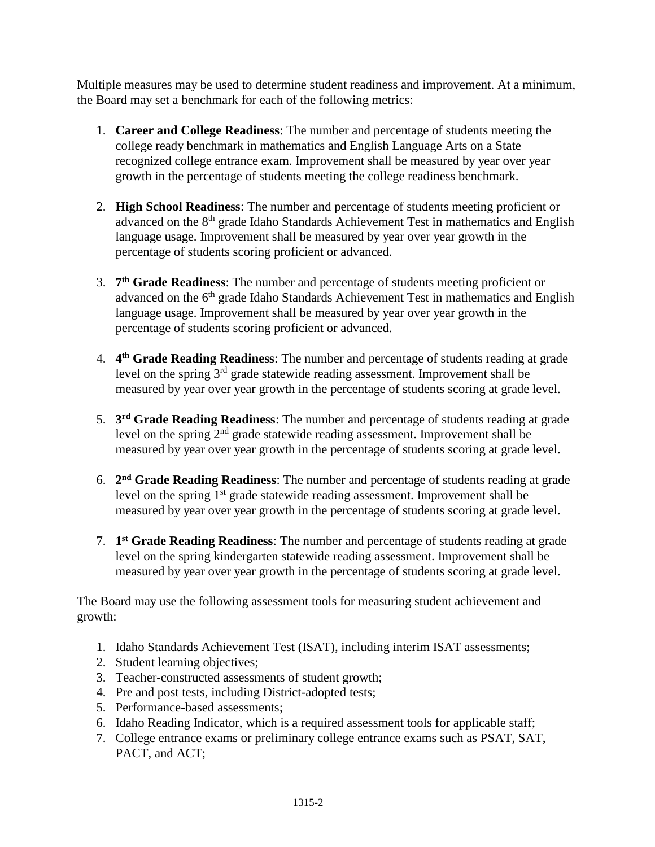Multiple measures may be used to determine student readiness and improvement. At a minimum, the Board may set a benchmark for each of the following metrics:

- 1. **Career and College Readiness**: The number and percentage of students meeting the college ready benchmark in mathematics and English Language Arts on a State recognized college entrance exam. Improvement shall be measured by year over year growth in the percentage of students meeting the college readiness benchmark.
- 2. **High School Readiness**: The number and percentage of students meeting proficient or advanced on the 8<sup>th</sup> grade Idaho Standards Achievement Test in mathematics and English language usage. Improvement shall be measured by year over year growth in the percentage of students scoring proficient or advanced.
- 3. **7 th Grade Readiness**: The number and percentage of students meeting proficient or advanced on the 6<sup>th</sup> grade Idaho Standards Achievement Test in mathematics and English language usage. Improvement shall be measured by year over year growth in the percentage of students scoring proficient or advanced.
- 4. **4 th Grade Reading Readiness**: The number and percentage of students reading at grade level on the spring 3rd grade statewide reading assessment. Improvement shall be measured by year over year growth in the percentage of students scoring at grade level.
- 5. **3 rd Grade Reading Readiness**: The number and percentage of students reading at grade level on the spring 2nd grade statewide reading assessment. Improvement shall be measured by year over year growth in the percentage of students scoring at grade level.
- 6. **2 nd Grade Reading Readiness**: The number and percentage of students reading at grade level on the spring 1<sup>st</sup> grade statewide reading assessment. Improvement shall be measured by year over year growth in the percentage of students scoring at grade level.
- 7. **1 st Grade Reading Readiness**: The number and percentage of students reading at grade level on the spring kindergarten statewide reading assessment. Improvement shall be measured by year over year growth in the percentage of students scoring at grade level.

The Board may use the following assessment tools for measuring student achievement and growth:

- 1. Idaho Standards Achievement Test (ISAT), including interim ISAT assessments;
- 2. Student learning objectives;
- 3. Teacher-constructed assessments of student growth;
- 4. Pre and post tests, including District-adopted tests;
- 5. Performance-based assessments;
- 6. Idaho Reading Indicator, which is a required assessment tools for applicable staff;
- 7. College entrance exams or preliminary college entrance exams such as PSAT, SAT, PACT, and ACT;